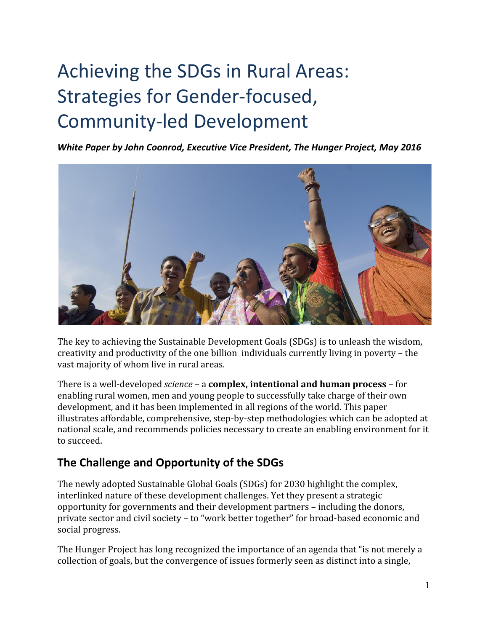# Achieving the SDGs in Rural Areas: Strategies for Gender-focused, **Community-led Development**

*White Paper by John Coonrod, Executive Vice President, The Hunger Project, May 2016*



The key to achieving the Sustainable Development Goals (SDGs) is to unleash the wisdom, creativity and productivity of the one billion individuals currently living in poverty – the vast majority of whom live in rural areas.

**There is a well-developed** *science* **– a <b>complex, intentional and human process** – for enabling rural women, men and young people to successfully take charge of their own development, and it has been implemented in all regions of the world. This paper illustrates affordable, comprehensive, step-by-step methodologies which can be adopted at national scale, and recommends policies necessary to create an enabling environment for it to succeed.

## **The Challenge and Opportunity of the SDGs**

The newly adopted Sustainable Global Goals (SDGs) for 2030 highlight the complex, interlinked nature of these development challenges. Yet they present a strategic opportunity for governments and their development partners – including the donors, private sector and civil society – to "work better together" for broad-based economic and social progress.

The Hunger Project has long recognized the importance of an agenda that "is not merely a collection of goals, but the convergence of issues formerly seen as distinct into a single,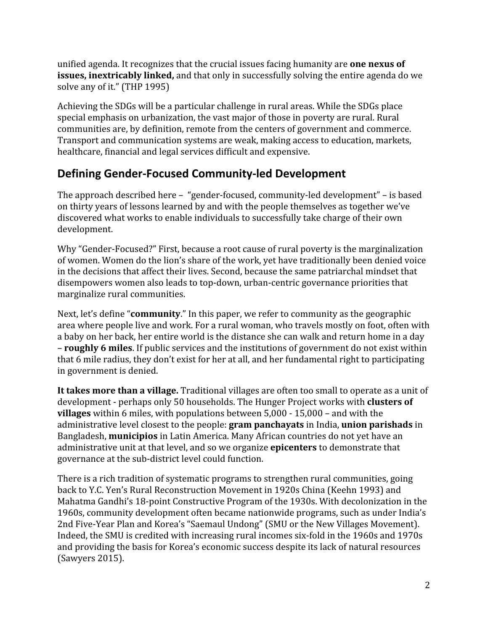unified agenda. It recognizes that the crucial issues facing humanity are **one nexus of issues, inextricably linked,**and that only in successfully solving the entire agenda do we solve any of it." (THP 1995)

Achieving the SDGs will be a particular challenge in rural areas. While the SDGs place special emphasis on urbanization, the vast major of those in poverty are rural. Rural communities are, by definition, remote from the centers of government and commerce. Transport and communication systems are weak, making access to education, markets, healthcare, financial and legal services difficult and expensive.

## **Defining Gender-Focused Community-led Development**

The approach described here – "gender-focused, community-led development" – is based on thirty years of lessons learned by and with the people themselves as together we've discovered what works to enable individuals to successfully take charge of their own development.

Why "Gender-Focused?" First, because a root cause of rural poverty is the marginalization of women. Women do the lion's share of the work, yet have traditionally been denied voice in the decisions that affect their lives. Second, because the same patriarchal mindset that disempowers women also leads to top-down, urban-centric governance priorities that marginalize rural communities.

Next, let's define "**community**." In this paper, we refer to community as the geographic area where people live and work. For a rural woman, who travels mostly on foot, often with a baby on her back, her entire world is the distance she can walk and return home in a day – **roughly 6 miles**. If public services and the institutions of government do not exist within that 6 mile radius, they don't exist for her at all, and her fundamental right to participating in government is denied.

**It takes more than a village.** Traditional villages are often too small to operate as a unit of development perhaps only 50 households. The Hunger Project works with **clusters of villages** within 6 miles, with populations between 5,000 - 15,000 - and with the administrative level closest to the people: **gram panchayats** in India, **union parishads**in Bangladesh, **municipios**in Latin America. Many African countries do not yet have an administrative unit at that level, and so we organize **epicenters**to demonstrate that governance at the sub-district level could function.

There is a rich tradition of systematic programs to strengthen rural communities, going back to Y.C. Yen's Rural Reconstruction Movement in 1920s China (Keehn 1993) and Mahatma Gandhi's 18-point Constructive Program of the 1930s. With decolonization in the 1960s, community development often became nationwide programs, such as under India's 2nd Five-Year Plan and Korea's "Saemaul Undong" (SMU or the New Villages Movement). Indeed, the SMU is credited with increasing rural incomes six-fold in the 1960s and 1970s and providing the basis for Korea's economic success despite its lack of natural resources (Sawyers 2015).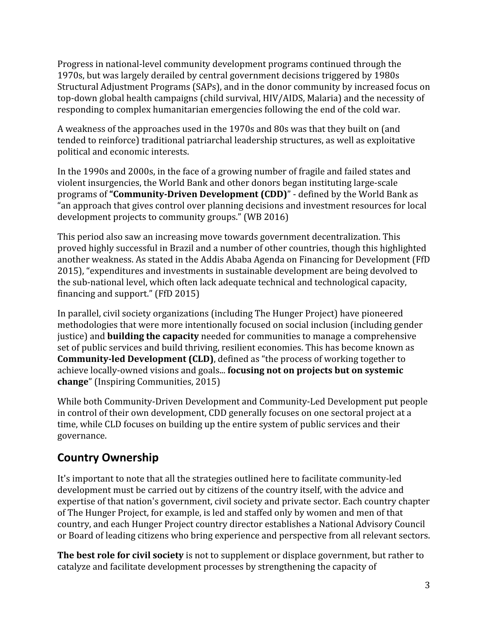Progress in national-level community development programs continued through the 1970s, but was largely derailed by central government decisions triggered by 1980s Structural Adjustment Programs (SAPs), and in the donor community by increased focus on top-down global health campaigns (child survival, HIV/AIDS, Malaria) and the necessity of responding to complex humanitarian emergencies following the end of the cold war.

A weakness of the approaches used in the 1970s and 80s was that they built on (and tended to reinforce) traditional patriarchal leadership structures, as well as exploitative political and economic interests.

In the 1990s and 2000s, in the face of a growing number of fragile and failed states and violent insurgencies, the World Bank and other donors began instituting large-scale programs of "**Community-Driven Development (CDD)**" - defined by the World Bank as "an approach that gives control over planning decisions and investment resources for local development projects to community groups." (WB 2016)

This period also saw an increasing move towards government decentralization. This proved highly successful in Brazil and a number of other countries, though this highlighted another weakness. As stated in the Addis Ababa Agenda on Financing for Development (FfD 2015), "expenditures and investments in sustainable development are being devolved to the sub-national level, which often lack adequate technical and technological capacity, financing and support." (FfD 2015)

In parallel, civil society organizations (including The Hunger Project) have pioneered methodologies that were more intentionally focused on social inclusion (including gender justice) and **building the capacity**needed for communities to manage a comprehensive set of public services and build thriving, resilient economies. This has become known as **Community-led Development (CLD), defined as "the process of working together to** achieve locally-owned visions and goals... **focusing not on projects but on systemic change**" (Inspiring Communities, 2015)

While both Community-Driven Development and Community-Led Development put people in control of their own development, CDD generally focuses on one sectoral project at a time, while CLD focuses on building up the entire system of public services and their governance.

# **Country Ownership**

It's important to note that all the strategies outlined here to facilitate community-led development must be carried out by citizens of the country itself, with the advice and expertise of that nation's government, civil society and private sector. Each country chapter of The Hunger Project, for example, is led and staffed only by women and men of that country, and each Hunger Project country director establishes a National Advisory Council or Board of leading citizens who bring experience and perspective from all relevant sectors.

**The best role for civil society**is not to supplement or displace government, but rather to catalyze and facilitate development processes by strengthening the capacity of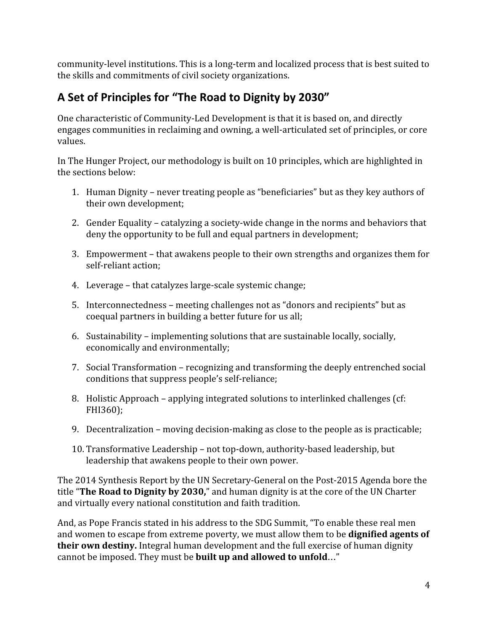community-level institutions. This is a long-term and localized process that is best suited to the skills and commitments of civil society organizations.

# **A Set of Principles for "The Road to Dignity by 2030"**

One characteristic of Community-Led Development is that it is based on, and directly engages communities in reclaiming and owning, a well-articulated set of principles, or core values.

In The Hunger Project, our methodology is built on 10 principles, which are highlighted in the sections below:

- 1. Human Dignity never treating people as "beneficiaries" but as they key authors of their own development;
- 2. Gender Equality catalyzing a society-wide change in the norms and behaviors that deny the opportunity to be full and equal partners in development;
- 3. Empowerment that awakens people to their own strengths and organizes them for self-reliant action:
- 4. Leverage that catalyzes large-scale systemic change;
- 5. Interconnectedness meeting challenges not as "donors and recipients" but as coequal partners in building a better future for us all;
- 6. Sustainability implementing solutions that are sustainable locally, socially, economically and environmentally;
- 7. Social Transformation recognizing and transforming the deeply entrenched social conditions that suppress people's self-reliance;
- 8. Holistic Approach applying integrated solutions to interlinked challenges (cf: FHI360);
- 9. Decentralization moving decision-making as close to the people as is practicable;
- 10. Transformative Leadership not top-down, authority-based leadership, but leadership that awakens people to their own power.

The 2014 Synthesis Report by the UN Secretary-General on the Post-2015 Agenda bore the title "**The Road to Dignity by 2030,**" and human dignity is at the core of the UN Charter and virtually every national constitution and faith tradition.

And, as Pope Francis stated in his address to the SDG Summit, "To enable these real men and women to escape from extreme poverty, we must allow them to be **dignified agents of their own destiny.**Integral human development and the full exercise of human dignity cannot be imposed. They must be **built up and allowed to unfold**…"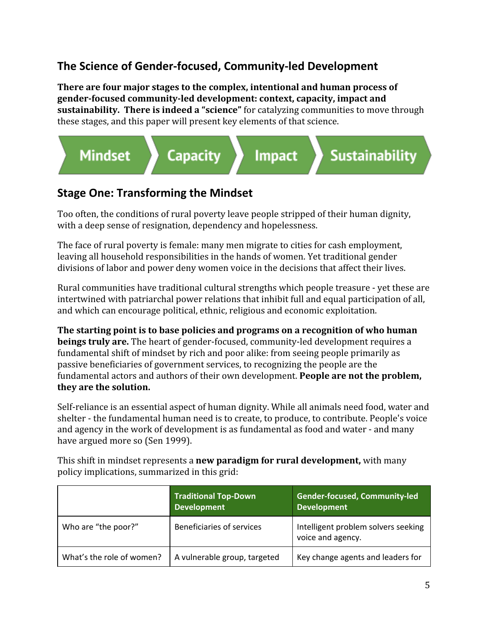# **The Science of Gender-focused, Community-led Development**

**There are four major stages to the complex, intentional and human process of genderfocused communityled development: context, capacity, impact and sustainability. There is indeed a "science"**for catalyzing communities to move through these stages, and this paper will present key elements of that science.



## **Stage One: Transforming the Mindset**

Too often, the conditions of rural poverty leave people stripped of their human dignity, with a deep sense of resignation, dependency and hopelessness.

The face of rural poverty is female: many men migrate to cities for cash employment, leaving all household responsibilities in the hands of women. Yet traditional gender divisions of labor and power deny women voice in the decisions that affect their lives.

Rural communities have traditional cultural strengths which people treasure - yet these are intertwined with patriarchal power relations that inhibit full and equal participation of all, and which can encourage political, ethnic, religious and economic exploitation.

**The starting point is to base policies and programs on a recognition of who human beings truly are.** The heart of gender-focused, community-led development requires a fundamental shift of mindset by rich and poor alike: from seeing people primarily as passive beneficiaries of government services, to recognizing the people are the fundamental actors and authors of their own development. **People are not the problem, they are the solution.**

Self-reliance is an essential aspect of human dignity. While all animals need food, water and shelter - the fundamental human need is to create, to produce, to contribute. People's voice and agency in the work of development is as fundamental as food and water - and many have argued more so (Sen 1999).

This shift in mindset represents a **new paradigm for rural development,** with many policy implications, summarized in this grid:

|                           | <b>Traditional Top-Down</b><br><b>Development</b> | <b>Gender-focused, Community-led</b><br><b>Development</b> |
|---------------------------|---------------------------------------------------|------------------------------------------------------------|
| Who are "the poor?"       | Beneficiaries of services                         | Intelligent problem solvers seeking<br>voice and agency.   |
| What's the role of women? | A vulnerable group, targeted                      | Key change agents and leaders for                          |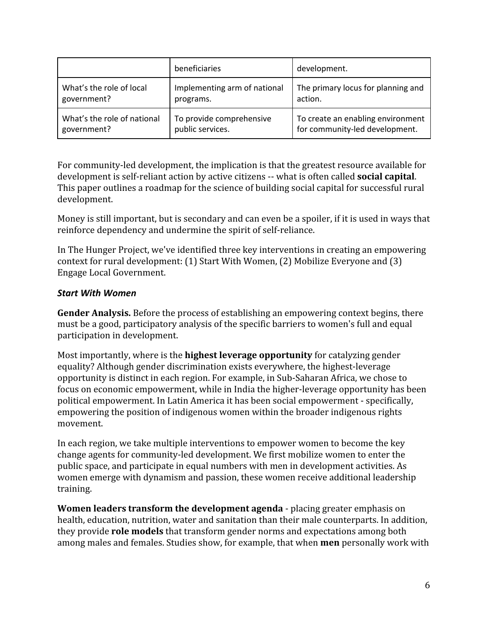|                             | beneficiaries                | development.                       |
|-----------------------------|------------------------------|------------------------------------|
| What's the role of local    | Implementing arm of national | The primary locus for planning and |
| government?                 | programs.                    | action.                            |
| What's the role of national | To provide comprehensive     | To create an enabling environment  |
| government?                 | public services.             | for community-led development.     |

For community-led development, the implication is that the greatest resource available for development is self-reliant action by active citizens -- what is often called **social capital**. This paper outlines a roadmap for the science of building social capital for successful rural development.

Money is still important, but is secondary and can even be a spoiler, if it is used in ways that reinforce dependency and undermine the spirit of self-reliance.

In The Hunger Project, we've identified three key interventions in creating an empowering context for rural development: (1) Start With Women, (2) Mobilize Everyone and (3) Engage Local Government.

#### *Start With Women*

**Gender Analysis.**Before the process of establishing an empowering context begins, there must be a good, participatory analysis of the specific barriers to women's full and equal participation in development.

Most importantly, where is the **highest leverage opportunity**for catalyzing gender equality? Although gender discrimination exists everywhere, the highest-leverage opportunity is distinct in each region. For example, in Sub-Saharan Africa, we chose to focus on economic empowerment, while in India the higher-leverage opportunity has been political empowerment. In Latin America it has been social empowerment - specifically, empowering the position of indigenous women within the broader indigenous rights movement.

In each region, we take multiple interventions to empower women to become the key change agents for community-led development. We first mobilize women to enter the public space, and participate in equal numbers with men in development activities. As women emerge with dynamism and passion, these women receive additional leadership training.

**Women leaders transform the development agenda** - placing greater emphasis on health, education, nutrition, water and sanitation than their male counterparts. In addition, they provide **role models**that transform gender norms and expectations among both among males and females. Studies show, for example, that when **men** personally work with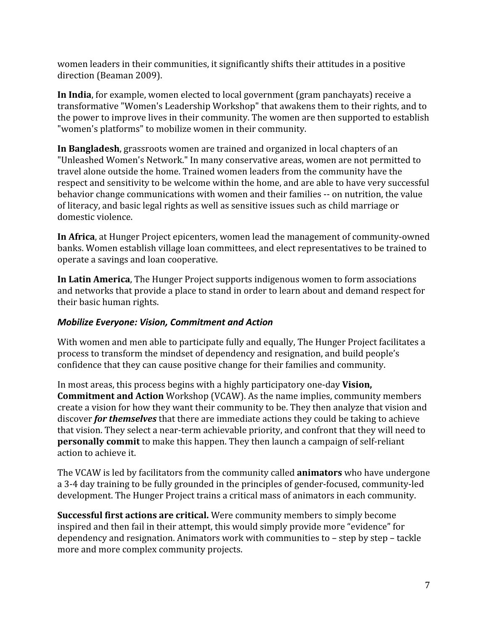women leaders in their communities, it significantly shifts their attitudes in a positive direction (Beaman 2009).

**In India**, for example, women elected to local government (gram panchayats) receive a transformative "Women's Leadership Workshop" that awakens them to their rights, and to the power to improve lives in their community. The women are then supported to establish "women's platforms" to mobilize women in their community.

**In Bangladesh**, grassroots women are trained and organized in local chapters of an "Unleashed Women's Network." In many conservative areas, women are not permitted to travel alone outside the home. Trained women leaders from the community have the respect and sensitivity to be welcome within the home, and are able to have very successful behavior change communications with women and their families -- on nutrition, the value of literacy, and basic legal rights as well as sensitive issues such as child marriage or domestic violence.

**In Africa**, at Hunger Project epicenters, women lead the management of community-owned banks. Women establish village loan committees, and elect representatives to be trained to operate a savings and loan cooperative.

**In Latin America**, The Hunger Project supports indigenous women to form associations and networks that provide a place to stand in order to learn about and demand respect for their basic human rights.

#### *Mobilize Everyone: Vision, Commitment and Action*

With women and men able to participate fully and equally, The Hunger Project facilitates a process to transform the mindset of dependency and resignation, and build people's confidence that they can cause positive change for their families and community.

In most areas, this process begins with a highly participatory oneday **Vision, Commitment and Action** Workshop (VCAW). As the name implies, community members create a vision for how they want their community to be. They then analyze that vision and discover *for themselves*that there are immediate actions they could be taking to achieve that vision. They select a near-term achievable priority, and confront that they will need to **personally commit** to make this happen. They then launch a campaign of self-reliant action to achieve it.

The VCAW is led by facilitators from the community called **animators**who have undergone a 3-4 day training to be fully grounded in the principles of gender-focused, community-led development. The Hunger Project trains a critical mass of animators in each community.

**Successful first actions are critical.** Were community members to simply become inspired and then fail in their attempt, this would simply provide more "evidence" for dependency and resignation. Animators work with communities to – step by step – tackle more and more complex community projects.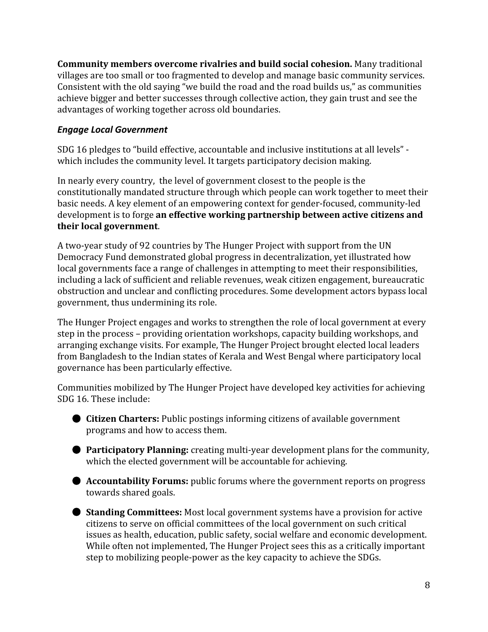**Community members overcome rivalries and build social cohesion.** Many traditional villages are too small or too fragmented to develop and manage basic community services. Consistent with the old saying "we build the road and the road builds us," as communities achieve bigger and better successes through collective action, they gain trust and see the advantages of working together across old boundaries.

#### *Engage Local Government*

SDG 16 pledges to "build effective, accountable and inclusive institutions at all levels" which includes the community level. It targets participatory decision making.

In nearly every country, the level of government closest to the people is the constitutionally mandated structure through which people can work together to meet their basic needs. A key element of an empowering context for gender-focused, community-led development is to forge **an effective working partnership between active citizens and their local government**.

A two-year study of 92 countries by The Hunger Project with support from the UN Democracy Fund demonstrated global progress in decentralization, yet illustrated how local governments face a range of challenges in attempting to meet their responsibilities, including a lack of sufficient and reliable revenues, weak citizen engagement, bureaucratic obstruction and unclear and conflicting procedures. Some development actors bypass local government, thus undermining its role.

The Hunger Project engages and works to strengthen the role of local government at every step in the process – providing orientation workshops, capacity building workshops, and arranging exchange visits. For example, The Hunger Project brought elected local leaders from Bangladesh to the Indian states of Kerala and West Bengal where participatory local governance has been particularly effective.

Communities mobilized by The Hunger Project have developed key activities for achieving SDG 16. These include:

- **Citizen Charters:** Public postings informing citizens of available government programs and how to access them.
- **Participatory Planning:** creating multi-year development plans for the community, which the elected government will be accountable for achieving.
- **Accountability Forums:** public forums where the government reports on progress towards shared goals.
- **Standing Committees:** Most local government systems have a provision for active citizens to serve on official committees of the local government on such critical issues as health, education, public safety, social welfare and economic development. While often not implemented, The Hunger Project sees this as a critically important step to mobilizing people-power as the key capacity to achieve the SDGs.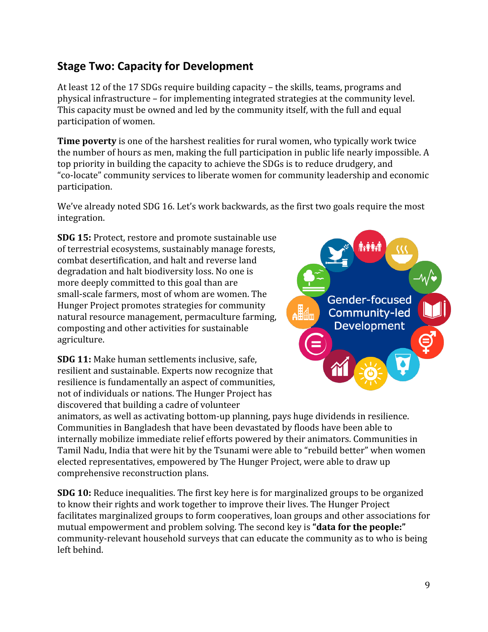# **Stage Two: Capacity for Development**

At least 12 of the 17 SDGs require building capacity – the skills, teams, programs and physical infrastructure – for implementing integrated strategies at the community level. This capacity must be owned and led by the community itself, with the full and equal participation of women.

**Time poverty**is one of the harshest realities for rural women, who typically work twice the number of hours as men, making the full participation in public life nearly impossible. A top priority in building the capacity to achieve the SDGs is to reduce drudgery, and "colocate" community services to liberate women for community leadership and economic participation.

We've already noted SDG 16. Let's work backwards, as the first two goals require the most integration.

**SDG 15:** Protect, restore and promote sustainable use of terrestrial ecosystems, sustainably manage forests, combat desertification, and halt and reverse land degradation and halt biodiversity loss. No one is more deeply committed to this goal than are small-scale farmers, most of whom are women. The Hunger Project promotes strategies for community natural resource management, permaculture farming, composting and other activities for sustainable agriculture.



**SDG 11:** Make human settlements inclusive, safe, resilient and sustainable. Experts now recognize that resilience is fundamentally an aspect of communities, not of individuals or nations. The Hunger Project has discovered that building a cadre of volunteer

animators, as well as activating bottom-up planning, pays huge dividends in resilience. Communities in Bangladesh that have been devastated by floods have been able to internally mobilize immediate relief efforts powered by their animators. Communities in Tamil Nadu, India that were hit by the Tsunami were able to "rebuild better" when women elected representatives, empowered by The Hunger Project, were able to draw up comprehensive reconstruction plans.

**SDG 10:**Reduce inequalities. The first key here is for marginalized groups to be organized to know their rights and work together to improve their lives. The Hunger Project facilitates marginalized groups to form cooperatives, loan groups and other associations for mutual empowerment and problem solving. The second key is **"data for the people:"** community-relevant household surveys that can educate the community as to who is being left behind.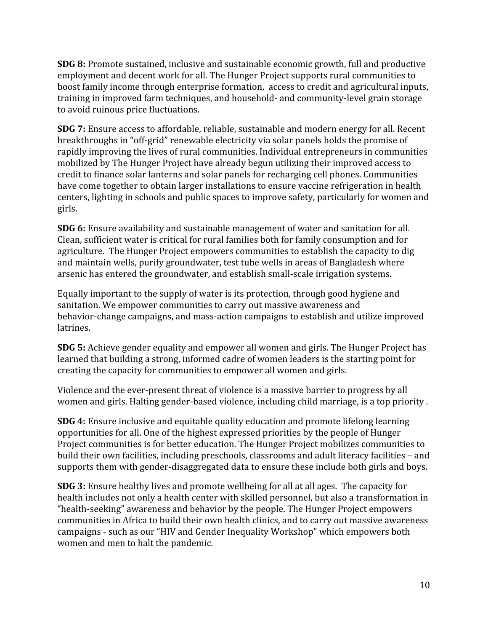**SDG 8:**Promote sustained, inclusive and sustainable economic growth, full and productive employment and decent work for all. The Hunger Project supports rural communities to boost family income through enterprise formation, access to credit and agricultural inputs, training in improved farm techniques, and household- and community-level grain storage to avoid ruinous price fluctuations.

**SDG 7:** Ensure access to affordable, reliable, sustainable and modern energy for all. Recent breakthroughs in "off-grid" renewable electricity via solar panels holds the promise of rapidly improving the lives of rural communities. Individual entrepreneurs in communities mobilized by The Hunger Project have already begun utilizing their improved access to credit to finance solar lanterns and solar panels for recharging cell phones. Communities have come together to obtain larger installations to ensure vaccine refrigeration in health centers, lighting in schools and public spaces to improve safety, particularly for women and girls.

**SDG 6:**Ensure availability and sustainable management of water and sanitation for all. Clean, sufficient water is critical for rural families both for family consumption and for agriculture. The Hunger Project empowers communities to establish the capacity to dig and maintain wells, purify groundwater, test tube wells in areas of Bangladesh where arsenic has entered the groundwater, and establish small-scale irrigation systems.

Equally important to the supply of water is its protection, through good hygiene and sanitation. We empower communities to carry out massive awareness and behavior-change campaigns, and mass-action campaigns to establish and utilize improved latrines.

**SDG 5:**Achieve gender equality and empower all women and girls. The Hunger Project has learned that building a strong, informed cadre of women leaders is the starting point for creating the capacity for communities to empower all women and girls.

Violence and the ever-present threat of violence is a massive barrier to progress by all women and girls. Halting gender-based violence, including child marriage, is a top priority .

**SDG 4:**Ensure inclusive and equitable quality education and promote lifelong learning opportunities for all. One of the highest expressed priorities by the people of Hunger Project communities is for better education. The Hunger Project mobilizes communities to build their own facilities, including preschools, classrooms and adult literacy facilities – and supports them with gender-disaggregated data to ensure these include both girls and boys.

**SDG 3:**Ensure healthy lives and promote wellbeing for all at all ages. The capacity for health includes not only a health center with skilled personnel, but also a transformation in "health-seeking" awareness and behavior by the people. The Hunger Project empowers communities in Africa to build their own health clinics, and to carry out massive awareness campaigns - such as our "HIV and Gender Inequality Workshop" which empowers both women and men to halt the pandemic.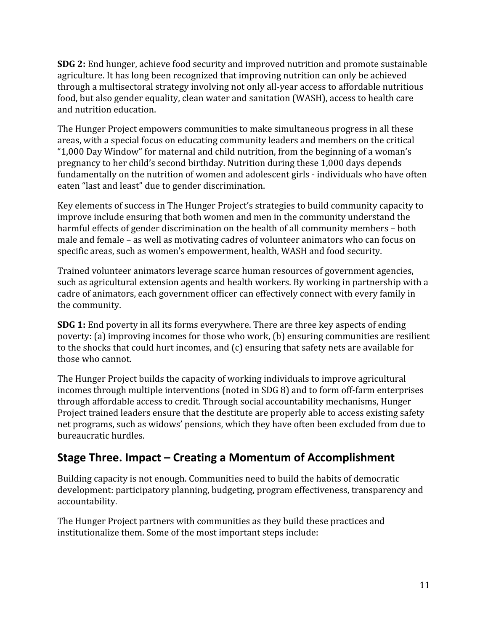**SDG 2:**End hunger, achieve food security and improved nutrition and promote sustainable agriculture. It has long been recognized that improving nutrition can only be achieved through a multisectoral strategy involving not only all-year access to affordable nutritious food, but also gender equality, clean water and sanitation (WASH), access to health care and nutrition education.

The Hunger Project empowers communities to make simultaneous progress in all these areas, with a special focus on educating community leaders and members on the critical "1,000 Day Window" for maternal and child nutrition, from the beginning of a woman's pregnancy to her child's second birthday. Nutrition during these 1,000 days depends fundamentally on the nutrition of women and adolescent girls - individuals who have often eaten "last and least" due to gender discrimination.

Key elements of success in The Hunger Project's strategies to build community capacity to improve include ensuring that both women and men in the community understand the harmful effects of gender discrimination on the health of all community members – both male and female – as well as motivating cadres of volunteer animators who can focus on specific areas, such as women's empowerment, health, WASH and food security.

Trained volunteer animators leverage scarce human resources of government agencies, such as agricultural extension agents and health workers. By working in partnership with a cadre of animators, each government officer can effectively connect with every family in the community.

**SDG 1:**End poverty in all its forms everywhere. There are three key aspects of ending poverty: (a) improving incomes for those who work, (b) ensuring communities are resilient to the shocks that could hurt incomes, and (c) ensuring that safety nets are available for those who cannot.

The Hunger Project builds the capacity of working individuals to improve agricultural incomes through multiple interventions (noted in SDG 8) and to form off-farm enterprises through affordable access to credit. Through social accountability mechanisms, Hunger Project trained leaders ensure that the destitute are properly able to access existing safety net programs, such as widows' pensions, which they have often been excluded from due to bureaucratic hurdles.

# **Stage Three. Impact – Creating a Momentum of Accomplishment**

Building capacity is not enough. Communities need to build the habits of democratic development: participatory planning, budgeting, program effectiveness, transparency and accountability.

The Hunger Project partners with communities as they build these practices and institutionalize them. Some of the most important steps include: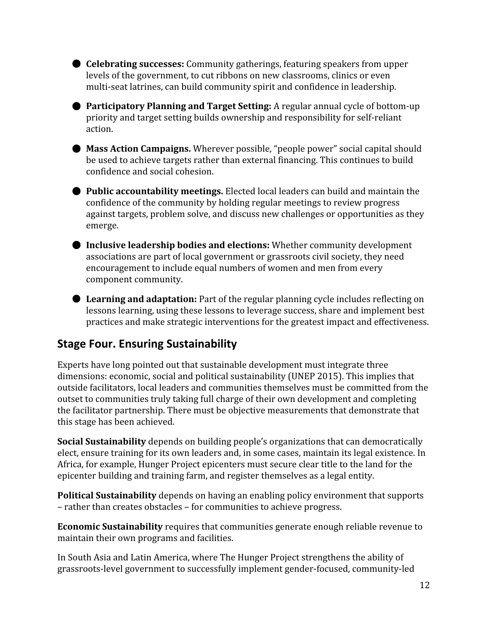● **Celebrating successes:** Community gatherings, featuring speakers from upper levels of the government, to cut ribbons on new classrooms, clinics or even multi-seat latrines, can build community spirit and confidence in leadership.

● **Participatory Planning and Target Setting:** A regular annual cycle of bottom-up priority and target setting builds ownership and responsibility for self-reliant action.

● **Mass Action Campaigns.** Wherever possible, "people power" social capital should be used to achieve targets rather than external financing. This continues to build confidence and social cohesion.

● **Public accountability meetings.** Elected local leaders can build and maintain the confidence of the community by holding regular meetings to review progress against targets, problem solve, and discuss new challenges or opportunities as they emerge.

● **Inclusive leadership bodies and elections:** Whether community development associations are part of local government or grassroots civil society, they need encouragement to include equal numbers of women and men from every component community.

● **Learning and adaptation:**Part of the regular planning cycle includes reflecting on lessons learning, using these lessons to leverage success, share and implement best practices and make strategic interventions for the greatest impact and effectiveness.

## **Stage Four. Ensuring Sustainability**

Experts have long pointed out that sustainable development must integrate three dimensions: economic, social and political sustainability (UNEP 2015). This implies that outside facilitators, local leaders and communities themselves must be committed from the outset to communities truly taking full charge of their own development and completing the facilitator partnership. There must be objective measurements that demonstrate that this stage has been achieved.

**Social Sustainability** depends on building people's organizations that can democratically elect, ensure training for its own leaders and, in some cases, maintain its legal existence. In Africa, for example, Hunger Project epicenters must secure clear title to the land for the epicenter building and training farm, and register themselves as a legal entity.

**Political Sustainability**depends on having an enabling policy environment that supports – rather than creates obstacles – for communities to achieve progress.

**Economic Sustainability**requires that communities generate enough reliable revenue to maintain their own programs and facilities.

In South Asia and Latin America, where The Hunger Project strengthens the ability of grassroots-level government to successfully implement gender-focused, community-led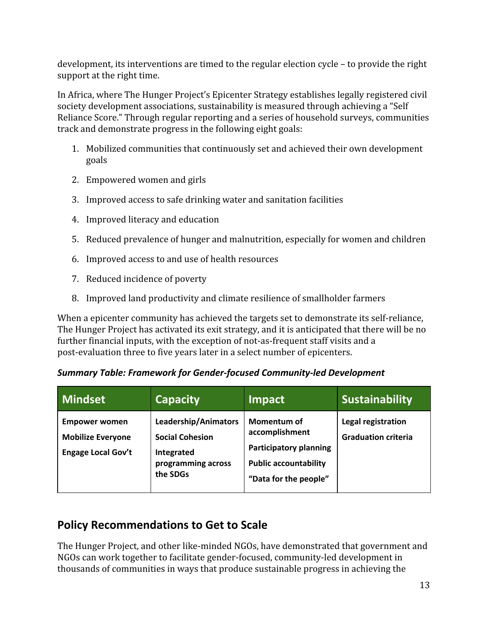development, its interventions are timed to the regular election cycle – to provide the right support at the right time.

In Africa, where The Hunger Project's Epicenter Strategy establishes legally registered civil society development associations, sustainability is measured through achieving a "Self Reliance Score." Through regular reporting and a series of household surveys, communities track and demonstrate progress in the following eight goals:

- 1. Mobilized communities that continuously set and achieved their own development goals
- 2. Empowered women and girls
- 3. Improved access to safe drinking water and sanitation facilities
- 4. Improved literacy and education
- 5. Reduced prevalence of hunger and malnutrition, especially for women and children
- 6. Improved access to and use of health resources
- 7. Reduced incidence of poverty
- 8. Improved land productivity and climate resilience of smallholder farmers

When a epicenter community has achieved the targets set to demonstrate its self-reliance, The Hunger Project has activated its exit strategy, and it is anticipated that there will be no further financial inputs, with the exception of not-as-frequent staff visits and a post-evaluation three to five years later in a select number of epicenters.

| Summary Table: Framework for Gender-focused Community-led Development |  |  |  |
|-----------------------------------------------------------------------|--|--|--|
|-----------------------------------------------------------------------|--|--|--|

| <b>Mindset</b>                                                                | <b>Capacity</b>                                                                                | <b>Impact</b>                                                                                                           | <b>Sustainability</b>                            |
|-------------------------------------------------------------------------------|------------------------------------------------------------------------------------------------|-------------------------------------------------------------------------------------------------------------------------|--------------------------------------------------|
| <b>Empower women</b><br><b>Mobilize Everyone</b><br><b>Engage Local Gov't</b> | Leadership/Animators<br><b>Social Cohesion</b><br>Integrated<br>programming across<br>the SDGs | Momentum of<br>accomplishment<br><b>Participatory planning</b><br><b>Public accountability</b><br>"Data for the people" | Legal registration<br><b>Graduation criteria</b> |

# **Policy Recommendations to Get to Scale**

The Hunger Project, and other like-minded NGOs, have demonstrated that government and NGOs can work together to facilitate gender-focused, community-led development in thousands of communities in ways that produce sustainable progress in achieving the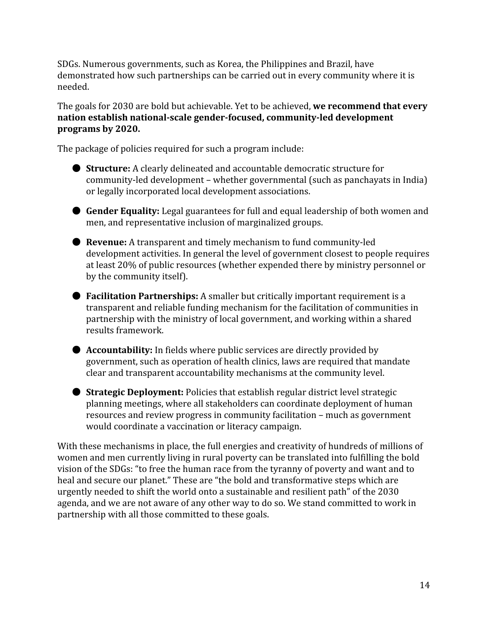SDGs. Numerous governments, such as Korea, the Philippines and Brazil, have demonstrated how such partnerships can be carried out in every community where it is needed.

The goals for 2030 are bold but achievable. Yet to be achieved, **we recommend that every nation** establish national-scale gender-focused, community-led development **programs by 2020.**

The package of policies required for such a program include:

- **Structure:** A clearly delineated and accountable democratic structure for community-led development – whether governmental (such as panchayats in India) or legally incorporated local development associations.
- **Gender Equality:** Legal guarantees for full and equal leadership of both women and men, and representative inclusion of marginalized groups.
- **Revenue:** A transparent and timely mechanism to fund community-led development activities. In general the level of government closest to people requires at least 20% of public resources (whether expended there by ministry personnel or by the community itself).
- **Facilitation Partnerships:** A smaller but critically important requirement is a transparent and reliable funding mechanism for the facilitation of communities in partnership with the ministry of local government, and working within a shared results framework.
- **Accountability:** In fields where public services are directly provided by government, such as operation of health clinics, laws are required that mandate clear and transparent accountability mechanisms at the community level.
- **Strategic Deployment:** Policies that establish regular district level strategic planning meetings, where all stakeholders can coordinate deployment of human resources and review progress in community facilitation – much as government would coordinate a vaccination or literacy campaign.

With these mechanisms in place, the full energies and creativity of hundreds of millions of women and men currently living in rural poverty can be translated into fulfilling the bold vision of the SDGs: "to free the human race from the tyranny of poverty and want and to heal and secure our planet." These are "the bold and transformative steps which are urgently needed to shift the world onto a sustainable and resilient path" of the 2030 agenda, and we are not aware of any other way to do so. We stand committed to work in partnership with all those committed to these goals.